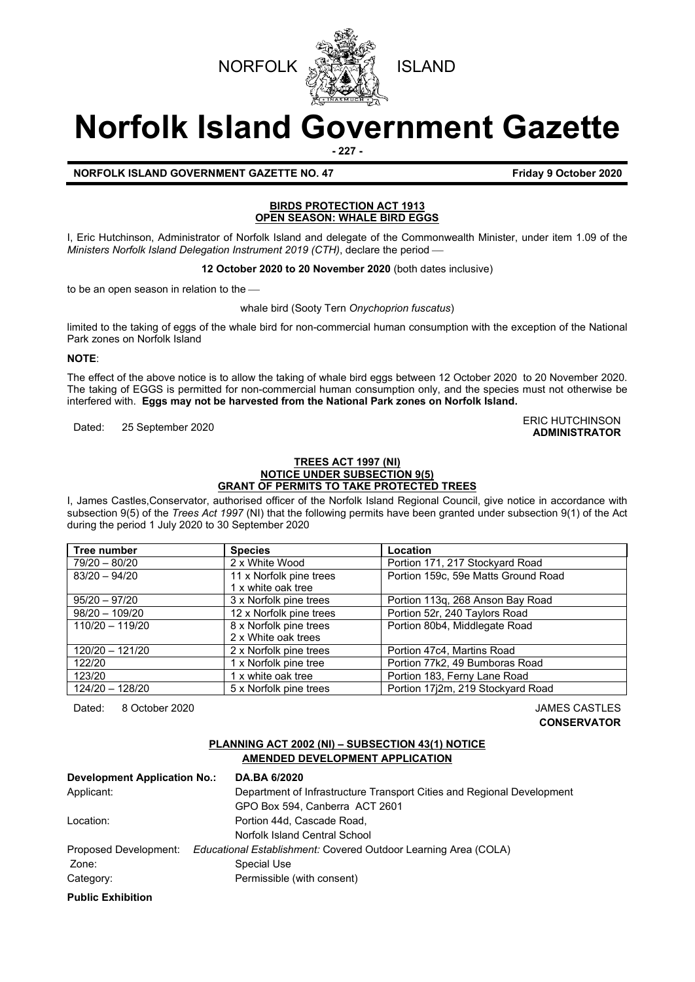



# **Norfolk Island Government Gazette**

**- 227 -**

**ADMINISTRATOR**

## **NORFOLK ISLAND GOVERNMENT GAZETTE NO. 47 Friday 9 October 2020**

## **BIRDS PROTECTION ACT 1913 OPEN SEASON: WHALE BIRD EGGS**

I, Eric Hutchinson, Administrator of Norfolk Island and delegate of the Commonwealth Minister, under item 1.09 of the *Ministers Norfolk Island Delegation Instrument 2019 (CTH)*, declare the period

**12 October 2020 to 20 November 2020** (both dates inclusive)

to be an open season in relation to the

whale bird (Sooty Tern *Onychoprion fuscatus*)

limited to the taking of eggs of the whale bird for non-commercial human consumption with the exception of the National Park zones on Norfolk Island

## **NOTE**:

The effect of the above notice is to allow the taking of whale bird eggs between 12 October 2020 to 20 November 2020. The taking of EGGS is permitted for non-commercial human consumption only, and the species must not otherwise be interfered with. **Eggs may not be harvested from the National Park zones on Norfolk Island.**

Dated: 25 September 2020 ERIC HUTCHINSON

## **TREES ACT 1997 (NI) NOTICE UNDER SUBSECTION 9(5) GRANT OF PERMITS TO TAKE PROTECTED TREES**

I, James Castles,Conservator, authorised officer of the Norfolk Island Regional Council, give notice in accordance with subsection 9(5) of the *Trees Act 1997* (NI) that the following permits have been granted under subsection 9(1) of the Act during the period 1 July 2020 to 30 September 2020

| Tree number       | <b>Species</b>          | Location                            |  |
|-------------------|-------------------------|-------------------------------------|--|
| 79/20 - 80/20     | 2 x White Wood          | Portion 171, 217 Stockyard Road     |  |
| $83/20 - 94/20$   | 11 x Norfolk pine trees | Portion 159c, 59e Matts Ground Road |  |
|                   | 1 x white oak tree      |                                     |  |
| $95/20 - 97/20$   | 3 x Norfolk pine trees  | Portion 113q, 268 Anson Bay Road    |  |
| $98/20 - 109/20$  | 12 x Norfolk pine trees | Portion 52r, 240 Taylors Road       |  |
| $110/20 - 119/20$ | 8 x Norfolk pine trees  | Portion 80b4, Middlegate Road       |  |
|                   | 2 x White oak trees     |                                     |  |
| $120/20 - 121/20$ | 2 x Norfolk pine trees  | Portion 47c4, Martins Road          |  |
| 122/20            | 1 x Norfolk pine tree   | Portion 77k2, 49 Bumboras Road      |  |
| 123/20            | 1 x white oak tree      | Portion 183, Ferny Lane Road        |  |
| 124/20 - 128/20   | 5 x Norfolk pine trees  | Portion 17j2m, 219 Stockyard Road   |  |

Dated: 8 October 2020 JAMES CASTLES

**CONSERVATOR**

## **PLANNING ACT 2002 (NI) – SUBSECTION 43(1) NOTICE AMENDED DEVELOPMENT APPLICATION**

| <b>Development Application No.:</b> | <b>DA.BA 6/2020</b>                                                    |  |
|-------------------------------------|------------------------------------------------------------------------|--|
| Applicant:                          | Department of Infrastructure Transport Cities and Regional Development |  |
|                                     | GPO Box 594, Canberra ACT 2601                                         |  |
| Location:                           | Portion 44d. Cascade Road.                                             |  |
|                                     | Norfolk Island Central School                                          |  |
| Proposed Development:               | Educational Establishment: Covered Outdoor Learning Area (COLA)        |  |
| Zone:                               | Special Use                                                            |  |
| Category:                           | Permissible (with consent)                                             |  |
| <b>Public Exhibition</b>            |                                                                        |  |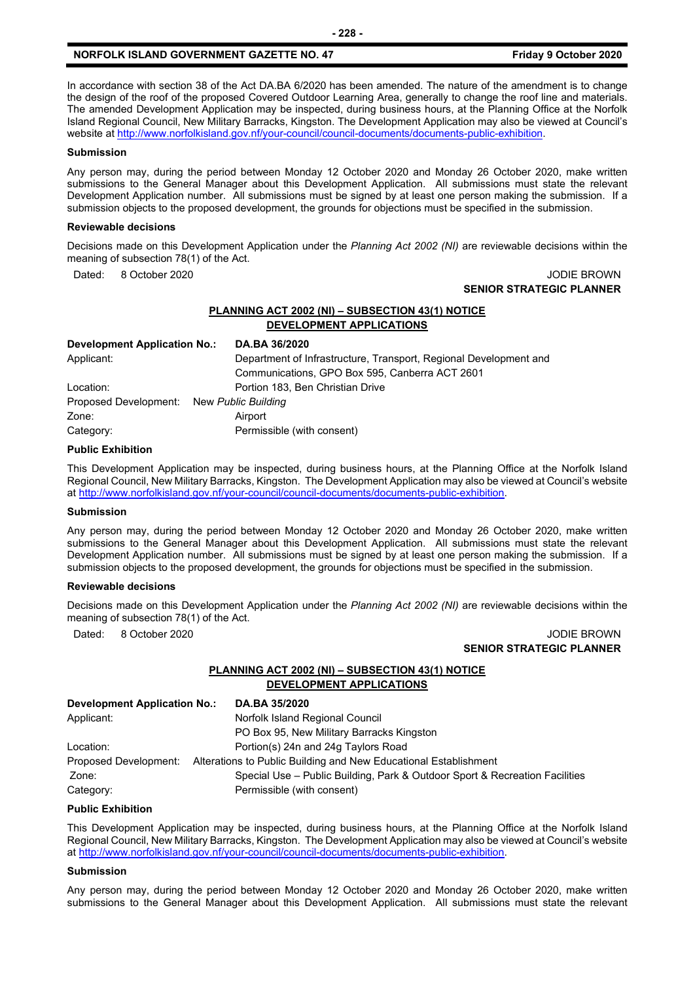In accordance with section 38 of the Act DA.BA 6/2020 has been amended. The nature of the amendment is to change the design of the roof of the proposed Covered Outdoor Learning Area, generally to change the roof line and materials. The amended Development Application may be inspected, during business hours, at the Planning Office at the Norfolk Island Regional Council, New Military Barracks, Kingston. The Development Application may also be viewed at Council's website a[t http://www.norfolkisland.gov.nf/your-council/council-documents/documents-public-exhibition.](http://www.norfolkisland.gov.nf/your-council/council-documents/documents-public-exhibition)

### **Submission**

Any person may, during the period between Monday 12 October 2020 and Monday 26 October 2020, make written submissions to the General Manager about this Development Application. All submissions must state the relevant Development Application number. All submissions must be signed by at least one person making the submission. If a submission objects to the proposed development, the grounds for objections must be specified in the submission.

### **Reviewable decisions**

Decisions made on this Development Application under the *Planning Act 2002 (NI)* are reviewable decisions within the meaning of subsection 78(1) of the Act.

Dated: 8 October 2020 JODIE BROWN

## **SENIOR STRATEGIC PLANNER**

### **PLANNING ACT 2002 (NI) – SUBSECTION 43(1) NOTICE DEVELOPMENT APPLICATIONS**

| <b>Development Application No.:</b>       | DA.BA 36/2020                                                     |
|-------------------------------------------|-------------------------------------------------------------------|
| Applicant:                                | Department of Infrastructure, Transport, Regional Development and |
|                                           | Communications, GPO Box 595, Canberra ACT 2601                    |
| Location:                                 | Portion 183, Ben Christian Drive                                  |
| Proposed Development: New Public Building |                                                                   |
| Zone:                                     | Airport                                                           |
| Category:                                 | Permissible (with consent)                                        |

### **Public Exhibition**

This Development Application may be inspected, during business hours, at the Planning Office at the Norfolk Island Regional Council, New Military Barracks, Kingston. The Development Application may also be viewed at Council's website a[t http://www.norfolkisland.gov.nf/your-council/council-documents/documents-public-exhibition.](http://www.norfolkisland.gov.nf/your-council/council-documents/documents-public-exhibition)

### **Submission**

Any person may, during the period between Monday 12 October 2020 and Monday 26 October 2020, make written submissions to the General Manager about this Development Application. All submissions must state the relevant Development Application number. All submissions must be signed by at least one person making the submission. If a submission objects to the proposed development, the grounds for objections must be specified in the submission.

### **Reviewable decisions**

Decisions made on this Development Application under the *Planning Act 2002 (NI)* are reviewable decisions within the meaning of subsection 78(1) of the Act.

## Dated: 8 October 2020 JODIE BROWN **SENIOR STRATEGIC PLANNER**

## **PLANNING ACT 2002 (NI) – SUBSECTION 43(1) NOTICE DEVELOPMENT APPLICATIONS**

| Development Application No.: | DA.BA 35/2020                                                               |
|------------------------------|-----------------------------------------------------------------------------|
| Applicant:                   | Norfolk Island Regional Council                                             |
|                              | PO Box 95, New Military Barracks Kingston                                   |
| Location:                    | Portion(s) 24n and 24g Taylors Road                                         |
| Proposed Development:        | Alterations to Public Building and New Educational Establishment            |
| Zone:                        | Special Use – Public Building, Park & Outdoor Sport & Recreation Facilities |
| Category:                    | Permissible (with consent)                                                  |

## **Public Exhibition**

This Development Application may be inspected, during business hours, at the Planning Office at the Norfolk Island Regional Council, New Military Barracks, Kingston. The Development Application may also be viewed at Council's website a[t http://www.norfolkisland.gov.nf/your-council/council-documents/documents-public-exhibition.](http://www.norfolkisland.gov.nf/your-council/council-documents/documents-public-exhibition)

### **Submission**

Any person may, during the period between Monday 12 October 2020 and Monday 26 October 2020, make written submissions to the General Manager about this Development Application. All submissions must state the relevant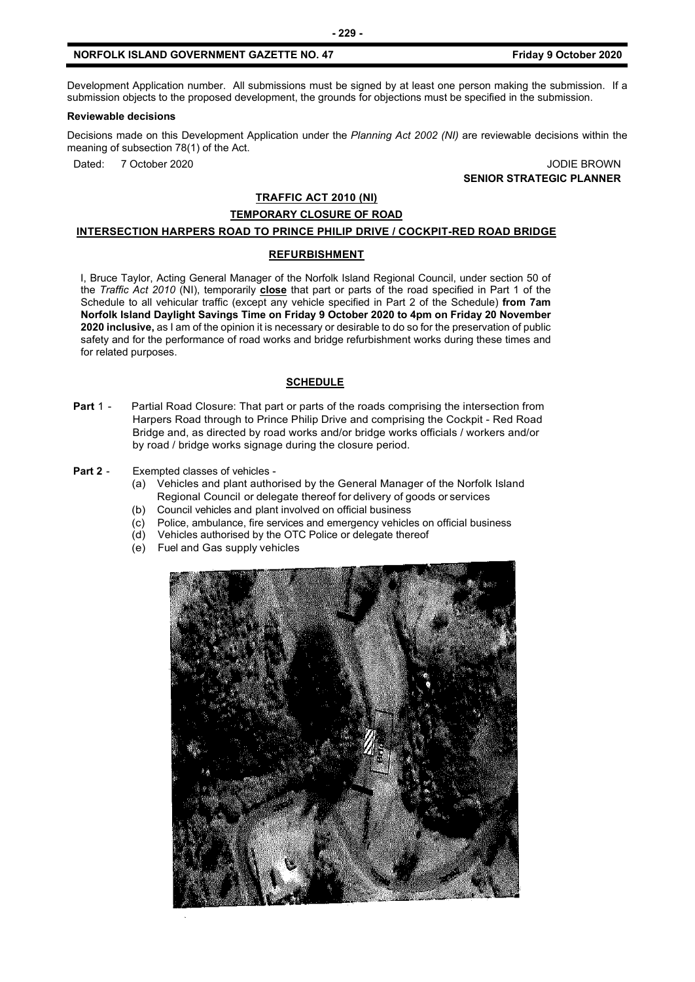Development Application number. All submissions must be signed by at least one person making the submission. If a submission objects to the proposed development, the grounds for objections must be specified in the submission.

## **Reviewable decisions**

Decisions made on this Development Application under the *Planning Act 2002 (NI)* are reviewable decisions within the meaning of subsection 78(1) of the Act.

Dated: 7 October 2020 JODIE BROWN **SENIOR STRATEGIC PLANNER**

## **TRAFFIC ACT 2010 (NI)**

## **TEMPORARY CLOSURE OF ROAD**

### **INTERSECTION HARPERS ROAD TO PRINCE PHILIP DRIVE / COCKPIT-RED ROAD BRIDGE**

### **REFURBISHMENT**

I, Bruce Taylor, Acting General Manager of the Norfolk Island Regional Council, under section 50 of the *Traffic Act 2010* (NI), temporarily **close** that part or parts of the road specified in Part 1 of the Schedule to all vehicular traffic (except any vehicle specified in Part 2 of the Schedule) **from 7am Norfolk Island Daylight Savings Time on Friday 9 October 2020 to 4pm on Friday 20 November 2020 inclusive,** as I am of the opinion it is necessary or desirable to do so for the preservation of public safety and for the performance of road works and bridge refurbishment works during these times and for related purposes.

### **SCHEDULE**

**Part 1 -** Partial Road Closure: That part or parts of the roads comprising the intersection from Harpers Road through to Prince Philip Drive and comprising the Cockpit - Red Road Bridge and, as directed by road works and/or bridge works officials / workers and/or by road / bridge works signage during the closure period.

### **Part 2** - Exempted classes of vehicles -

- (a) Vehicles and plant authorised by the General Manager of the Norfolk Island Regional Council or delegate thereof for delivery of goods or services
- (b) Council vehicles and plant involved on official business
- (c) Police, ambulance, fire services and emergency vehicles on official business
- (d) Vehicles authorised by the OTC Police or delegate thereof
- (e) Fuel and Gas supply vehicles

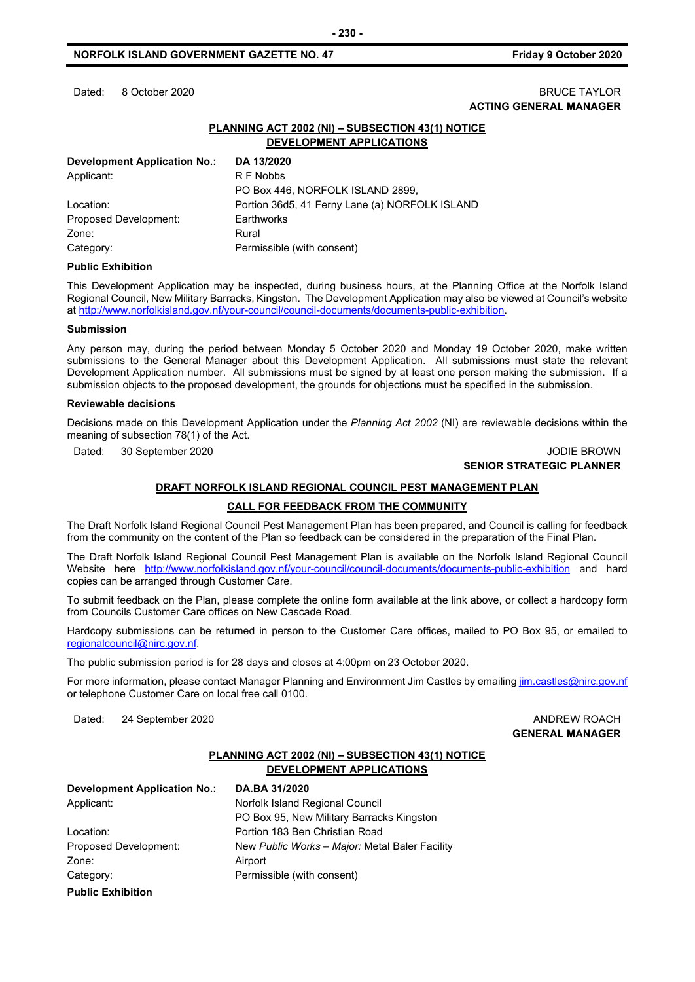## Dated: 8 October 2020 BRUCE TAYLOR **ACTING GENERAL MANAGER**

## **PLANNING ACT 2002 (NI) – SUBSECTION 43(1) NOTICE DEVELOPMENT APPLICATIONS**

| DA 13/2020                                     |
|------------------------------------------------|
| R F Nobbs                                      |
| PO Box 446, NORFOLK ISLAND 2899,               |
| Portion 36d5, 41 Ferny Lane (a) NORFOLK ISLAND |
| Earthworks                                     |
| Rural                                          |
| Permissible (with consent)                     |
|                                                |

### **Public Exhibition**

This Development Application may be inspected, during business hours, at the Planning Office at the Norfolk Island Regional Council, New Military Barracks, Kingston. The Development Application may also be viewed at Council's website a[t http://www.norfolkisland.gov.nf/your-council/council-documents/documents-public-exhibition.](http://www.norfolkisland.gov.nf/your-council/council-documents/documents-public-exhibition)

### **Submission**

Any person may, during the period between Monday 5 October 2020 and Monday 19 October 2020, make written submissions to the General Manager about this Development Application. All submissions must state the relevant Development Application number. All submissions must be signed by at least one person making the submission. If a submission objects to the proposed development, the grounds for objections must be specified in the submission.

### **Reviewable decisions**

Decisions made on this Development Application under the *Planning Act 2002* (NI) are reviewable decisions within the meaning of subsection 78(1) of the Act.

Dated: 30 September 2020 JODIE BROWN

## **SENIOR STRATEGIC PLANNER**

### **DRAFT NORFOLK ISLAND REGIONAL COUNCIL PEST MANAGEMENT PLAN**

### **CALL FOR FEEDBACK FROM THE COMMUNITY**

The Draft Norfolk Island Regional Council Pest Management Plan has been prepared, and Council is calling for feedback from the community on the content of the Plan so feedback can be considered in the preparation of the Final Plan.

The Draft Norfolk Island Regional Council Pest Management Plan is available on the Norfolk Island Regional Council Website here <http://www.norfolkisland.gov.nf/your-council/council-documents/documents-public-exhibition> and hard copies can be arranged through Customer Care.

To submit feedback on the Plan, please complete the online form available at the link above, or collect a hardcopy form from Councils Customer Care offices on New Cascade Road.

Hardcopy submissions can be returned in person to the Customer Care offices, mailed to PO Box 95, or emailed to [regionalcouncil@nirc.gov.nf.](mailto:regionalcouncil@nirc.gov.nf)

The public submission period is for 28 days and closes at 4:00pm on 23 October 2020.

For more information, please contact Manager Planning and Environment Jim Castles by emailing *jim.castles@nirc.gov.nf* or telephone Customer Care on local free call 0100.

Dated: 24 September 2020 **ANDREW ROACH CONSERVISE SERVICES** AND AND REW ROACH

**GENERAL MANAGER**

## **PLANNING ACT 2002 (NI) – SUBSECTION 43(1) NOTICE DEVELOPMENT APPLICATIONS**

| <b>Development Application No.:</b> | DA.BA 31/2020                                  |  |
|-------------------------------------|------------------------------------------------|--|
| Applicant:                          | Norfolk Island Regional Council                |  |
|                                     | PO Box 95, New Military Barracks Kingston      |  |
| Location:                           | Portion 183 Ben Christian Road                 |  |
| Proposed Development:               | New Public Works - Major: Metal Baler Facility |  |
| Zone:                               | Airport                                        |  |
| Category:                           | Permissible (with consent)                     |  |
| <b>Public Exhibition</b>            |                                                |  |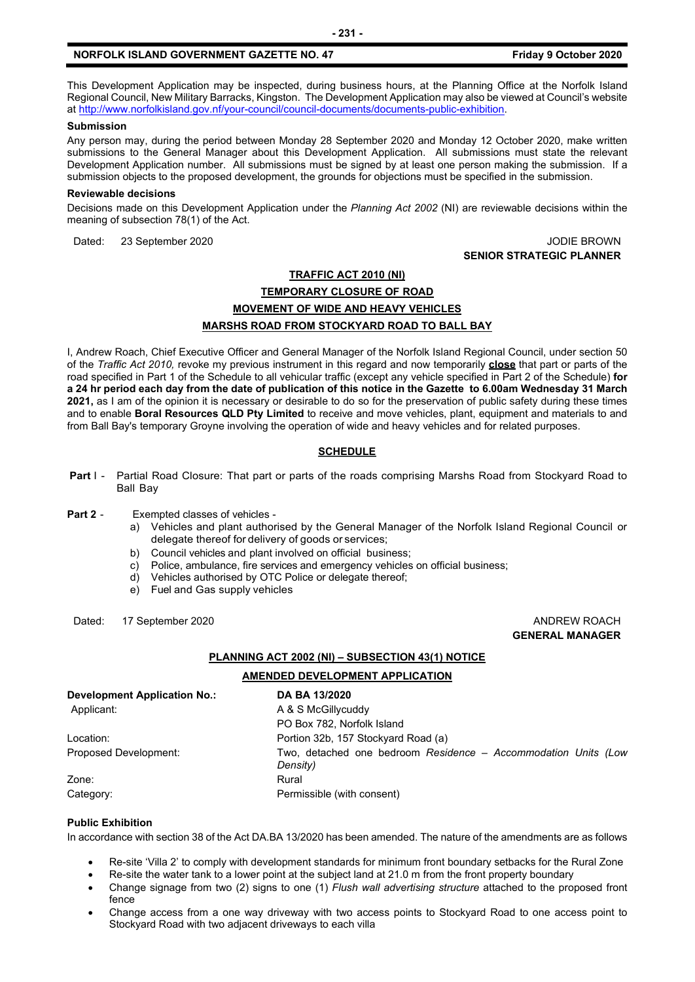This Development Application may be inspected, during business hours, at the Planning Office at the Norfolk Island Regional Council, New Military Barracks, Kingston. The Development Application may also be viewed at Council's website a[t http://www.norfolkisland.gov.nf/your-council/council-documents/documents-public-exhibition.](http://www.norfolkisland.gov.nf/your-council/council-documents/documents-public-exhibition)

### **Submission**

Any person may, during the period between Monday 28 September 2020 and Monday 12 October 2020, make written submissions to the General Manager about this Development Application. All submissions must state the relevant Development Application number. All submissions must be signed by at least one person making the submission. If a submission objects to the proposed development, the grounds for objections must be specified in the submission.

### **Reviewable decisions**

Decisions made on this Development Application under the *Planning Act 2002* (NI) are reviewable decisions within the meaning of subsection 78(1) of the Act.

Dated: 23 September 2020 JODIE BROWN

**SENIOR STRATEGIC PLANNER**

## **TRAFFIC ACT 2010 (NI) TEMPORARY CLOSURE OF ROAD MOVEMENT OF WIDE AND HEAVY VEHICLES MARSHS ROAD FROM STOCKYARD ROAD TO BALL BAY**

I, Andrew Roach, Chief Executive Officer and General Manager of the Norfolk Island Regional Council, under section 50 of the *Traffic Act 2010,* revoke my previous instrument in this regard and now temporarily **close** that part or parts of the road specified in Part 1 of the Schedule to all vehicular traffic (except any vehicle specified in Part 2 of the Schedule) **for a 24 hr period each day from the date of publication of this notice in the Gazette to 6.00am Wednesday 31 March 2021,** as I am of the opinion it is necessary or desirable to do so for the preservation of public safety during these times and to enable **Boral Resources QLD Pty Limited** to receive and move vehicles, plant, equipment and materials to and from Ball Bay's temporary Groyne involving the operation of wide and heavy vehicles and for related purposes.

## **SCHEDULE**

 **Part** I - Partial Road Closure: That part or parts of the roads comprising Marshs Road from Stockyard Road to Ball Bay

### **Part 2** - Exempted classes of vehicles -

- a) Vehicles and plant authorised by the General Manager of the Norfolk Island Regional Council or delegate thereof for delivery of goods or services;
- b) Council vehicles and plant involved on official business;
- c) Police, ambulance, fire services and emergency vehicles on official business;
- d) Vehicles authorised by OTC Police or delegate thereof;
- e) Fuel and Gas supply vehicles

Dated: 17 September 2020 **ANDREW ROACH ANDREW ROACH** 

**GENERAL MANAGER**

### **PLANNING ACT 2002 (NI) – SUBSECTION 43(1) NOTICE**

### **AMENDED DEVELOPMENT APPLICATION**

| <b>Development Application No.:</b> | DA BA 13/2020                                                              |  |
|-------------------------------------|----------------------------------------------------------------------------|--|
| Applicant:                          | A & S McGillycuddy                                                         |  |
|                                     | PO Box 782, Norfolk Island                                                 |  |
| Location:                           | Portion 32b, 157 Stockyard Road (a)                                        |  |
| Proposed Development:               | Two, detached one bedroom Residence - Accommodation Units (Low<br>Density) |  |
| Zone:                               | Rural                                                                      |  |
| Category:                           | Permissible (with consent)                                                 |  |

## **Public Exhibition**

In accordance with section 38 of the Act DA.BA 13/2020 has been amended. The nature of the amendments are as follows

- Re-site 'Villa 2' to comply with development standards for minimum front boundary setbacks for the Rural Zone
- Re-site the water tank to a lower point at the subject land at 21.0 m from the front property boundary
- Change signage from two (2) signs to one (1) *Flush wall advertising structure* attached to the proposed front fence
- Change access from a one way driveway with two access points to Stockyard Road to one access point to Stockyard Road with two adjacent driveways to each villa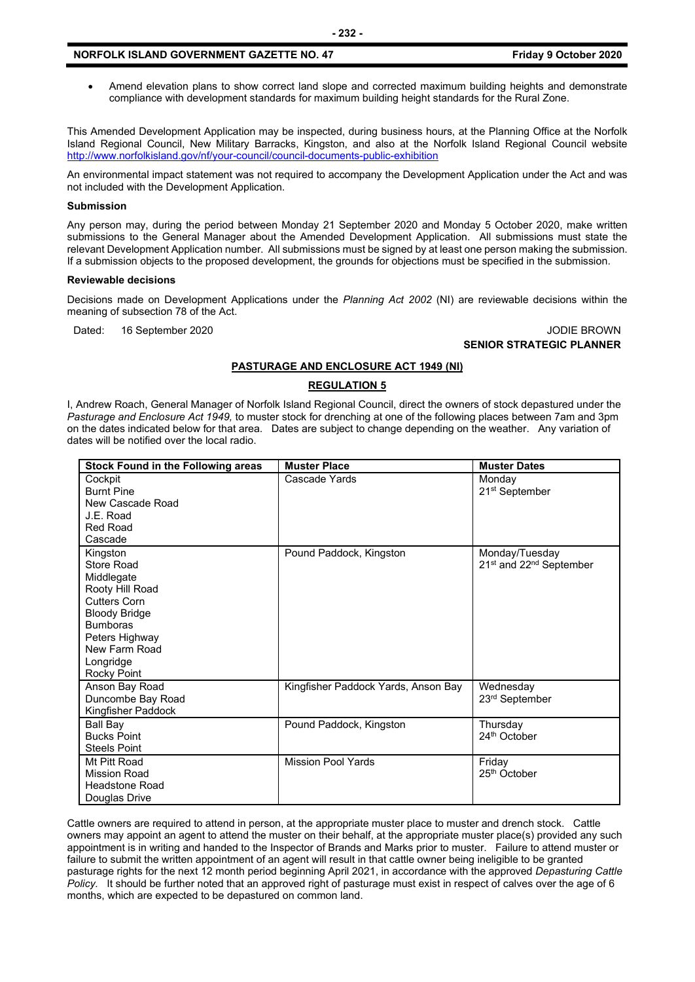• Amend elevation plans to show correct land slope and corrected maximum building heights and demonstrate compliance with development standards for maximum building height standards for the Rural Zone.

This Amended Development Application may be inspected, during business hours, at the Planning Office at the Norfolk Island Regional Council, New Military Barracks, Kingston, and also at the Norfolk Island Regional Council website <http://www.norfolkisland.gov/nf/your-council/council-documents-public-exhibition>

An environmental impact statement was not required to accompany the Development Application under the Act and was not included with the Development Application.

### **Submission**

Any person may, during the period between Monday 21 September 2020 and Monday 5 October 2020, make written submissions to the General Manager about the Amended Development Application. All submissions must state the relevant Development Application number. All submissions must be signed by at least one person making the submission. If a submission objects to the proposed development, the grounds for objections must be specified in the submission.

#### **Reviewable decisions**

Decisions made on Development Applications under the *Planning Act 2002* (NI) are reviewable decisions within the meaning of subsection 78 of the Act.

Dated: 16 September 2020 JODIE BROWN

### **SENIOR STRATEGIC PLANNER**

### **PASTURAGE AND ENCLOSURE ACT 1949 (NI)**

## **REGULATION 5**

I, Andrew Roach, General Manager of Norfolk Island Regional Council, direct the owners of stock depastured under the *Pasturage and Enclosure Act 1949,* to muster stock for drenching at one of the following places between 7am and 3pm on the dates indicated below for that area. Dates are subject to change depending on the weather. Any variation of dates will be notified over the local radio.

| <b>Stock Found in the Following areas</b>                                                                                                                                                       | <b>Muster Place</b>                 | <b>Muster Dates</b>                                               |
|-------------------------------------------------------------------------------------------------------------------------------------------------------------------------------------------------|-------------------------------------|-------------------------------------------------------------------|
| Cockpit<br><b>Burnt Pine</b><br>New Cascade Road<br>J.E. Road<br><b>Red Road</b><br>Cascade                                                                                                     | Cascade Yards                       | Monday<br>21 <sup>st</sup> September                              |
| Kingston<br>Store Road<br>Middlegate<br>Rooty Hill Road<br><b>Cutters Corn</b><br><b>Bloody Bridge</b><br><b>Bumboras</b><br>Peters Highway<br>New Farm Road<br>Longridge<br><b>Rocky Point</b> | Pound Paddock, Kingston             | Monday/Tuesday<br>21 <sup>st</sup> and 22 <sup>nd</sup> September |
| Anson Bay Road<br>Duncombe Bay Road<br>Kingfisher Paddock                                                                                                                                       | Kingfisher Paddock Yards, Anson Bay | Wednesday<br>23rd September                                       |
| Ball Bay<br><b>Bucks Point</b><br><b>Steels Point</b>                                                                                                                                           | Pound Paddock, Kingston             | Thursday<br>24th October                                          |
| Mt Pitt Road<br><b>Mission Road</b><br><b>Headstone Road</b><br>Douglas Drive                                                                                                                   | <b>Mission Pool Yards</b>           | Friday<br>25 <sup>th</sup> October                                |

Cattle owners are required to attend in person, at the appropriate muster place to muster and drench stock. Cattle owners may appoint an agent to attend the muster on their behalf, at the appropriate muster place(s) provided any such appointment is in writing and handed to the Inspector of Brands and Marks prior to muster. Failure to attend muster or failure to submit the written appointment of an agent will result in that cattle owner being ineligible to be granted pasturage rights for the next 12 month period beginning April 2021, in accordance with the approved *Depasturing Cattle Policy.* It should be further noted that an approved right of pasturage must exist in respect of calves over the age of 6 months, which are expected to be depastured on common land.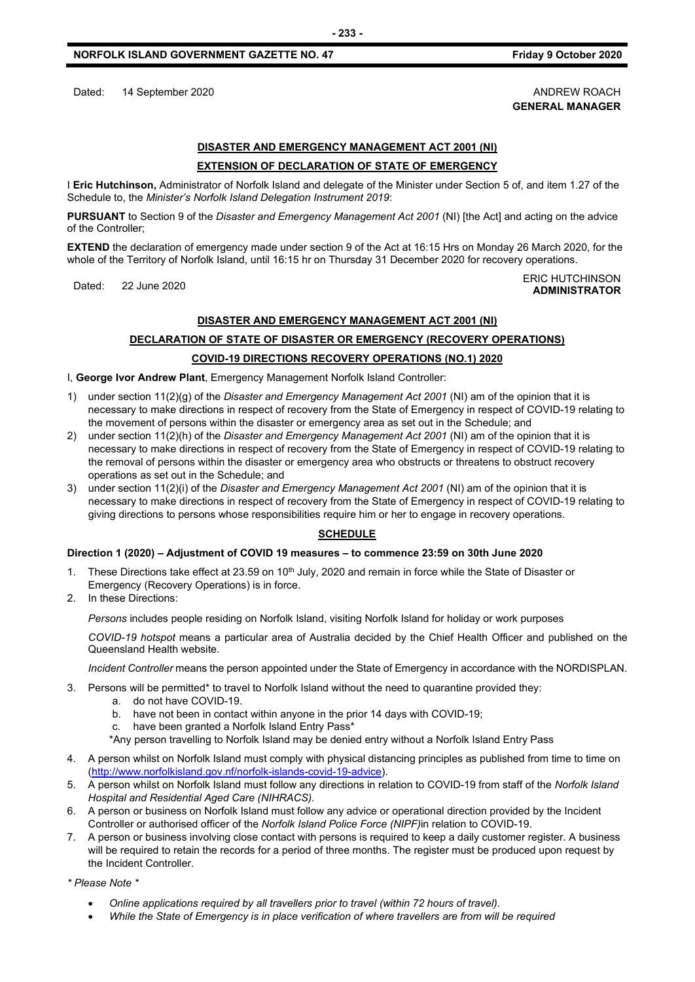Dated: 14 September 2020 **ANDREW ROACH** 

## **DISASTER AND EMERGENCY MANAGEMENT ACT 2001 (NI) EXTENSION OF DECLARATION OF STATE OF EMERGENCY**

I **Eric Hutchinson,** Administrator of Norfolk Island and delegate of the Minister under Section 5 of, and item 1.27 of the Schedule to, the *Minister's Norfolk Island Delegation Instrument 2019*:

**PURSUANT** to Section 9 of the *Disaster and Emergency Management Act 2001* (NI) [the Act] and acting on the advice of the Controller;

**EXTEND** the declaration of emergency made under section 9 of the Act at 16:15 Hrs on Monday 26 March 2020, for the whole of the Territory of Norfolk Island, until 16:15 hr on Thursday 31 December 2020 for recovery operations.

### Dated: 22 June 2020<br>Dated: 22 June 2020 **ADMINISTRATOR**

## **DISASTER AND EMERGENCY MANAGEMENT ACT 2001 (NI)**

## **DECLARATION OF STATE OF DISASTER OR EMERGENCY (RECOVERY OPERATIONS)**

## **COVID-19 DIRECTIONS RECOVERY OPERATIONS (NO.1) 2020**

I, **George Ivor Andrew Plant**, Emergency Management Norfolk Island Controller:

- 1) under section 11(2)(g) of the *Disaster and Emergency Management Act 2001* (NI) am of the opinion that it is necessary to make directions in respect of recovery from the State of Emergency in respect of COVID-19 relating to the movement of persons within the disaster or emergency area as set out in the Schedule; and
- 2) under section 11(2)(h) of the *Disaster and Emergency Management Act 2001* (NI) am of the opinion that it is necessary to make directions in respect of recovery from the State of Emergency in respect of COVID-19 relating to the removal of persons within the disaster or emergency area who obstructs or threatens to obstruct recovery operations as set out in the Schedule; and
- 3) under section 11(2)(i) of the *Disaster and Emergency Management Act 2001* (NI) am of the opinion that it is necessary to make directions in respect of recovery from the State of Emergency in respect of COVID-19 relating to giving directions to persons whose responsibilities require him or her to engage in recovery operations.

## **SCHEDULE**

## **Direction 1 (2020) – Adjustment of COVID 19 measures – to commence 23:59 on 30th June 2020**

- 1. These Directions take effect at 23.59 on 10<sup>th</sup> July, 2020 and remain in force while the State of Disaster or Emergency (Recovery Operations) is in force.
- 2. In these Directions:

*Persons* includes people residing on Norfolk Island, visiting Norfolk Island for holiday or work purposes

*COVID-19 hotspot* means a particular area of Australia decided by the Chief Health Officer and published on the Queensland Health website.

*Incident Controller* means the person appointed under the State of Emergency in accordance with the NORDISPLAN.

- 3. Persons will be permitted\* to travel to Norfolk Island without the need to quarantine provided they:
	- a. do not have COVID-19.
	- b. have not been in contact within anyone in the prior 14 days with COVID-19;
	- c. have been granted a Norfolk Island Entry Pass\*
	- \*Any person travelling to Norfolk Island may be denied entry without a Norfolk Island Entry Pass
- 4. A person whilst on Norfolk Island must comply with physical distancing principles as published from time to time on [\(http://www.norfolkisland.gov.nf/norfolk-islands-covid-19-advice\)](http://www.norfolkisland.gov.nf/norfolk-islands-covid-19-advice).
- 5. A person whilst on Norfolk Island must follow any directions in relation to COVID-19 from staff of the *Norfolk Island Hospital and Residential Aged Care (NIHRACS).*
- 6. A person or business on Norfolk Island must follow any advice or operational direction provided by the Incident Controller or authorised officer of the *Norfolk Island Police Force (NIPF)*in relation to COVID-19.
- 7. A person or business involving close contact with persons is required to keep a daily customer register. A business will be required to retain the records for a period of three months. The register must be produced upon request by the Incident Controller.

*\* Please Note \** 

- *Online applications required by all travellers prior to travel (within 72 hours of travel).*
- *While the State of Emergency is in place verification of where travellers are from will be required*

**GENERAL MANAGER**